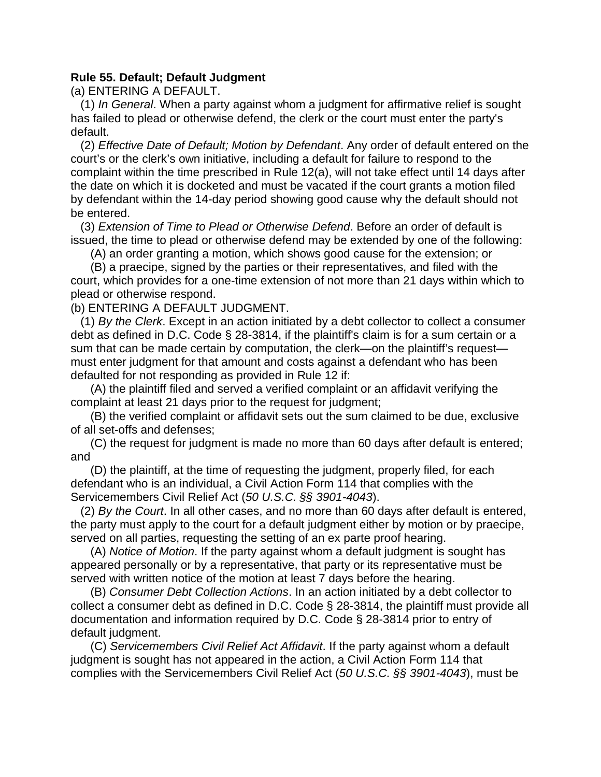## **Rule 55. Default; Default Judgment**

(a) ENTERING A DEFAULT.

(1) *In General*. When a party against whom a judgment for affirmative relief is sought has failed to plead or otherwise defend, the clerk or the court must enter the party's default.

 complaint within the time prescribed in Rule 12(a), will not take effect until 14 days after (2) *Effective Date of Default; Motion by Defendant*. Any order of default entered on the court's or the clerk's own initiative, including a default for failure to respond to the the date on which it is docketed and must be vacated if the court grants a motion filed by defendant within the 14-day period showing good cause why the default should not be entered.

(3) *Extension of Time to Plead or Otherwise Defend*. Before an order of default is issued, the time to plead or otherwise defend may be extended by one of the following:

(A) an order granting a motion, which shows good cause for the extension; or

(B) a praecipe, signed by the parties or their representatives, and filed with the court, which provides for a one-time extension of not more than 21 days within which to plead or otherwise respond.

(b) ENTERING A DEFAULT JUDGMENT.

(1) *By the Clerk*. Except in an action initiated by a debt collector to collect a consumer debt as defined in D.C. Code § 28-3814, if the plaintiff's claim is for a sum certain or a sum that can be made certain by computation, the clerk—on the plaintiff's request must enter judgment for that amount and costs against a defendant who has been defaulted for not responding as provided in Rule 12 if:

 complaint at least 21 days prior to the request for judgment; (A) the plaintiff filed and served a verified complaint or an affidavit verifying the

(B) the verified complaint or affidavit sets out the sum claimed to be due, exclusive of all set-offs and defenses;

(C) the request for judgment is made no more than 60 days after default is entered; and

(D) the plaintiff, at the time of requesting the judgment, properly filed, for each defendant who is an individual, a Civil Action Form 114 that complies with the Servicemembers Civil Relief Act (*50 U.S.C. §§ 3901-4043*).

(2) *By the Court*. In all other cases, and no more than 60 days after default is entered, the party must apply to the court for a default judgment either by motion or by praecipe, served on all parties, requesting the setting of an ex parte proof hearing.

(A) *Notice of Motion*. If the party against whom a default judgment is sought has appeared personally or by a representative, that party or its representative must be served with written notice of the motion at least 7 days before the hearing.

 collect a consumer debt as defined in D.C. Code § 28-3814, the plaintiff must provide all (B) *Consumer Debt Collection Actions*. In an action initiated by a debt collector to documentation and information required by D.C. Code § 28-3814 prior to entry of default judgment.

(C) *Servicemembers Civil Relief Act Affidavit*. If the party against whom a default judgment is sought has not appeared in the action, a Civil Action Form 114 that complies with the Servicemembers Civil Relief Act (*50 U.S.C. §§ 3901-4043*), must be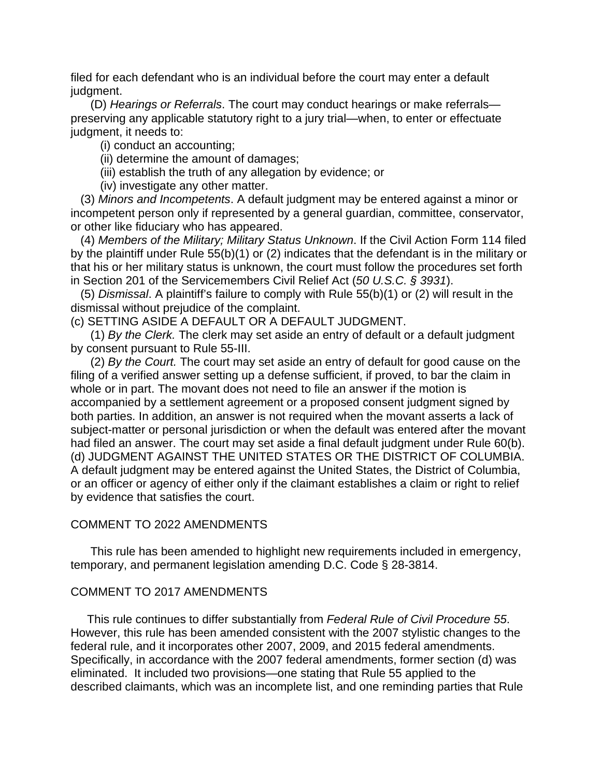filed for each defendant who is an individual before the court may enter a default judgment.

 preserving any applicable statutory right to a jury trial—when, to enter or effectuate judgment, it needs to: (D) *Hearings or Referrals*. The court may conduct hearings or make referrals—

(i) conduct an accounting;

- (ii) determine the amount of damages;
- (iii) establish the truth of any allegation by evidence; or
- (iv) investigate any other matter.

 incompetent person only if represented by a general guardian, committee, conservator, (3) *Minors and Incompetents*. A default judgment may be entered against a minor or or other like fiduciary who has appeared.

 by the plaintiff under Rule 55(b)(1) or (2) indicates that the defendant is in the military or that his or her military status is unknown, the court must follow the procedures set forth (4) *Members of the Military; Military Status Unknown*. If the Civil Action Form 114 filed in Section 201 of the Servicemembers Civil Relief Act (*50 U.S.C. § 3931*).

(5) *Dismissal*. A plaintiff's failure to comply with Rule 55(b)(1) or (2) will result in the dismissal without prejudice of the complaint.

(c) SETTING ASIDE A DEFAULT OR A DEFAULT JUDGMENT.

(1) *By the Clerk.* The clerk may set aside an entry of default or a default judgment by consent pursuant to Rule 55-III.

 accompanied by a settlement agreement or a proposed consent judgment signed by A default judgment may be entered against the United States, the District of Columbia, or an officer or agency of either only if the claimant establishes a claim or right to relief (2) *By the Court.* The court may set aside an entry of default for good cause on the filing of a verified answer setting up a defense sufficient, if proved, to bar the claim in whole or in part. The movant does not need to file an answer if the motion is both parties. In addition, an answer is not required when the movant asserts a lack of subject-matter or personal jurisdiction or when the default was entered after the movant had filed an answer. The court may set aside a final default judgment under Rule 60(b). (d) JUDGMENT AGAINST THE UNITED STATES OR THE DISTRICT OF COLUMBIA. by evidence that satisfies the court.

## COMMENT TO 2022 AMENDMENTS

This rule has been amended to highlight new requirements included in emergency, temporary, and permanent legislation amending D.C. Code § 28-3814.

## COMMENT TO 2017 AMENDMENTS

This rule continues to differ substantially from *Federal Rule of Civil Procedure 55*. However, this rule has been amended consistent with the 2007 stylistic changes to the federal rule, and it incorporates other 2007, 2009, and 2015 federal amendments. Specifically, in accordance with the 2007 federal amendments, former section (d) was eliminated. It included two provisions—one stating that Rule 55 applied to the described claimants, which was an incomplete list, and one reminding parties that Rule